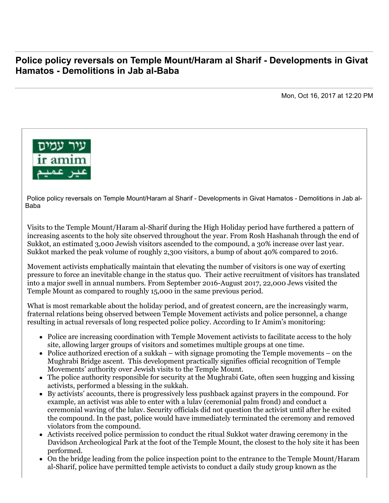## **Police policy reversals on Temple Mount/Haram al Sharif - Developments in Givat Hamatos - Demolitions in Jab al-Baba**

Mon, Oct 16, 2017 at 12:20 PM



 Police policy reversals on Temple Mount/Haram al Sharif - Developments in Givat Hamatos - Demolitions in Jab al-Baba

Visits to the Temple Mount/Haram al-Sharif during the High Holiday period have furthered a pattern of increasing ascents to the holy site observed throughout the year. From Rosh Hashanah through the end of Sukkot, an estimated 3,000 Jewish visitors ascended to the compound, a 30% increase over last year. Sukkot marked the peak volume of roughly 2,300 visitors, a bump of about 40% compared to 2016.

Movement activists emphatically maintain that elevating the number of visitors is one way of exerting pressure to force an inevitable change in the status quo. Their active recruitment of visitors has translated into a major swell in annual numbers. From September 2016-August 2017, 22,000 Jews visited the Temple Mount as compared to roughly 15,000 in the same previous period.

What is most remarkable about the holiday period, and of greatest concern, are the increasingly warm, fraternal relations being observed between Temple Movement activists and police personnel, a change resulting in actual reversals of long respected police policy. According to Ir Amim's monitoring:

- Police are increasing coordination with Temple Movement activists to facilitate access to the holy site, allowing larger groups of visitors and sometimes multiple groups at one time.
- Police authorized erection of a sukkah with signage promoting the Temple movements on the Mughrabi Bridge ascent. This development practically signifies official recognition of Temple Movements' authority over Jewish visits to the Temple Mount.
- The police authority responsible for security at the Mughrabi Gate, often seen hugging and kissing activists, performed a blessing in the sukkah.
- By activists' accounts, there is progressively less pushback against prayers in the compound. For example, an activist was able to enter with a lulav (ceremonial palm frond) and conduct a ceremonial waving of the lulav. Security officials did not question the activist until after he exited the compound. In the past, police would have immediately terminated the ceremony and removed violators from the compound.
- Activists received police permission to conduct the ritual Sukkot water drawing ceremony in the Davidson Archeological Park at the foot of the Temple Mount, the closest to the holy site it has been performed.
- On the bridge leading from the police inspection point to the entrance to the Temple Mount/Haram al-Sharif, police have permitted temple activists to conduct a daily study group known as the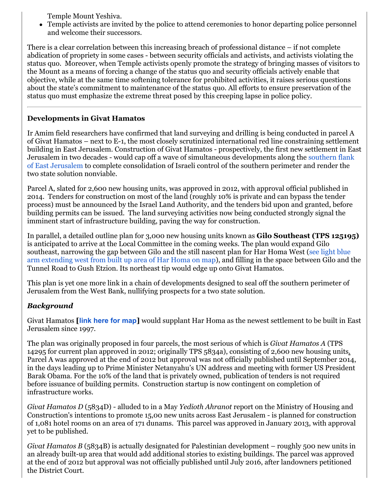Temple Mount Yeshiva.

Temple activists are invited by the police to attend ceremonies to honor departing police personnel and welcome their successors.

There is a clear correlation between this increasing breach of professional distance – if not complete abdication of propriety in some cases - between security officials and activists, and activists violating the status quo. Moreover, when Temple activists openly promote the strategy of bringing masses of visitors to the Mount as a means of forcing a change of the status quo and security officials actively enable that objective, while at the same time softening tolerance for prohibited activities, it raises serious questions about the state's commitment to maintenance of the status quo. All efforts to ensure preservation of the status quo must emphasize the extreme threat posed by this creeping lapse in police policy.

## **Developments in Givat Hamatos**

Ir Amim field researchers have confirmed that land surveying and drilling is being conducted in parcel A of Givat Hamatos – next to E-1, the most closely scrutinized international red line constraining settlement building in East Jerusalem. Construction of Givat Hamatos - prospectively, the first new settlement in East [Jerusalem in two decades - would cap off a wave of simultaneous developments along the southern flank](http://www.altro.co.il/uploads/252/File/South%20Jerusalem%202016.jpg) of East Jerusalem to complete consolidation of Israeli control of the southern perimeter and render the two state solution nonviable.

Parcel A, slated for 2,600 new housing units, was approved in 2012, with approval official published in 2014. Tenders for construction on most of the land (roughly 10% is private and can bypass the tender process) must be announced by the Israel Land Authority, and the tenders bid upon and granted, before building permits can be issued. The land surveying activities now being conducted strongly signal the imminent start of infrastructure building, paving the way for construction.

In parallel, a detailed outline plan for 3,000 new housing units known as **Gilo Southeast (TPS 125195)** is anticipated to arrive at the Local Committee in the coming weeks. The plan would expand Gilo southeast, narrowing the gap between Gilo and the still nascent plan for Har Homa West (see light blue [arm extending west from built up area of Har Homa on map\), and filling in the space between Gilo and](http://altro.co.il/uploads/252/File/2017%20Greater%20Jerusalem.jpg) the Tunnel Road to Gush Etzion. Its northeast tip would edge up onto Givat Hamatos.

This plan is yet one more link in a chain of developments designed to seal off the southern perimeter of Jerusalem from the West Bank, nullifying prospects for a two state solution.

## *Background*

Givat Hamatos **[[link here for map](http://www.altro.co.il/uploads/252/File/Givat%20Hamatos%202017.jpg)]** would supplant Har Homa as the newest settlement to be built in East Jerusalem since 1997.

The plan was originally proposed in four parcels, the most serious of which is *Givat Hamatos A* (TPS 14295 for current plan approved in 2012; originally TPS 5834a), consisting of 2,600 new housing units. Parcel A was approved at the end of 2012 but approval was not officially published until September 2014, in the days leading up to Prime Minister Netanyahu's UN address and meeting with former US President Barak Obama. For the 10% of the land that is privately owned, publication of tenders is not required before issuance of building permits. Construction startup is now contingent on completion of infrastructure works.

*Givat Hamatos D* (5834D) - alluded to in a May *Yedioth Ahranot* report on the Ministry of Housing and Construction's intentions to promote 15,00 new units across East Jerusalem - is planned for construction of 1,081 hotel rooms on an area of 171 dunams. This parcel was approved in January 2013, with approval yet to be published.

*Givat Hamatos B* (5834B) is actually designated for Palestinian development – roughly 500 new units in an already built-up area that would add additional stories to existing buildings. The parcel was approved at the end of 2012 but approval was not officially published until July 2016, after landowners petitioned the District Court.